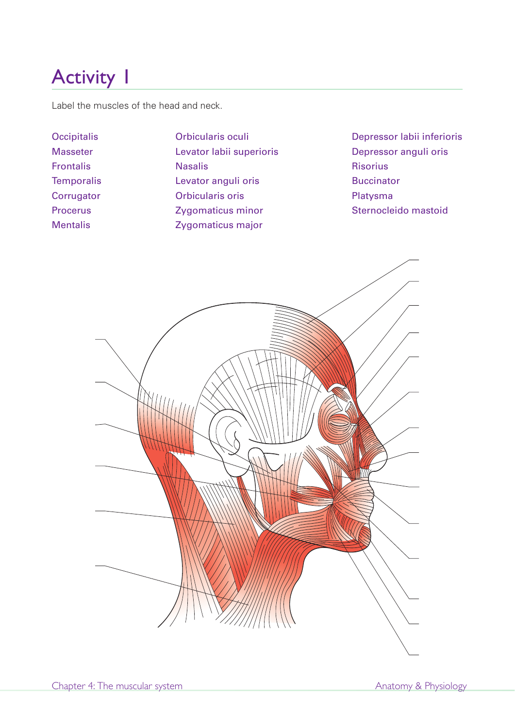Label the muscles of the head and neck.

Masseter Levator labii superioris Depressor anguli oris Frontalis Risorius Roman Nasalis Risorius Risorius Temporalis **Levator anguli oris** Buccinator Corrugator **Contracts** Orbicularis oris **Contracts** Platysma Procerus **Zygomaticus minor** Sternocleido mastoid Mentalis Zygomaticus major

Occipitalis Orbicularis oculi Depressor labii inferioris

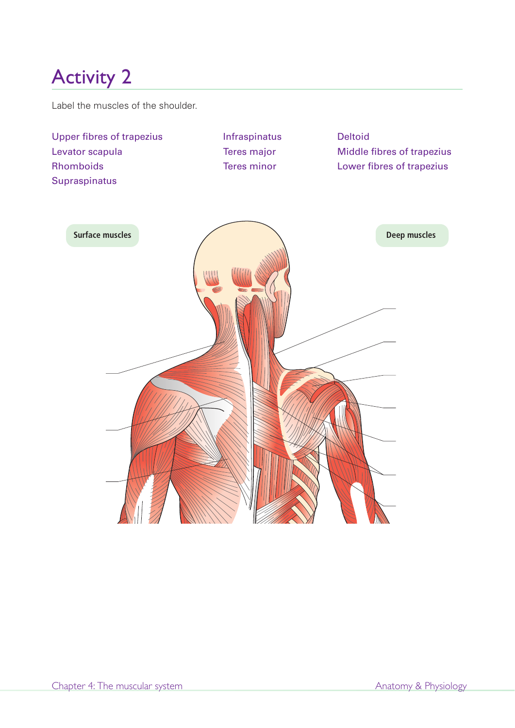Label the muscles of the shoulder.

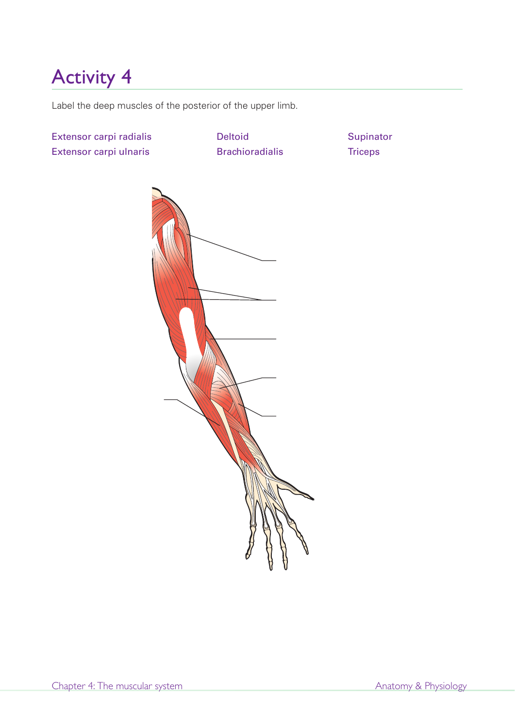Label the deep muscles of the posterior of the upper limb.

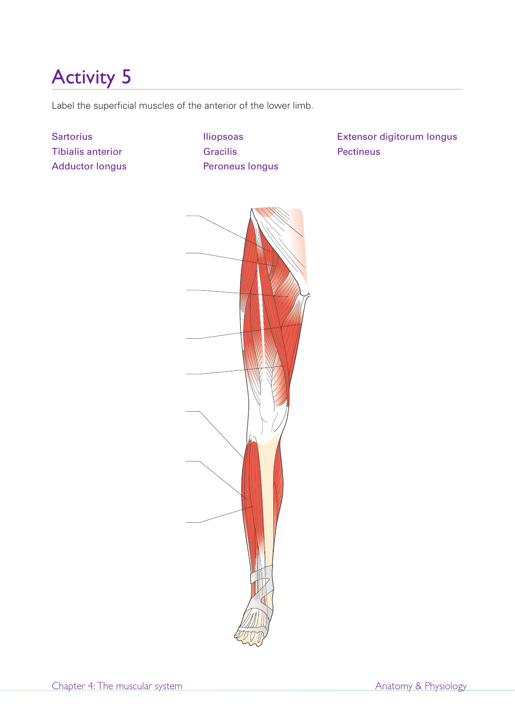Label the superficial muscles of the anterior of the lower limb.

**Sartorius** Tibialis anterior Adductor longus Iliopsoas Gracilis Peroneus longus Extensor digitorum longus Pectineus

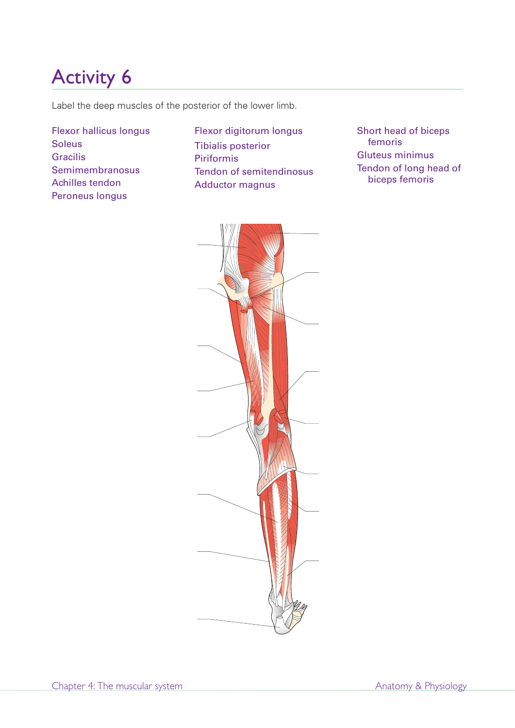Label the deep muscles of the posterior of the lower limb.

Flexor hallicus longus Soleus Gracilis Semimembranosus Achilles tendon Peroneus longus

Flexor digitorum longus Tibialis posterior Piriformis Tendon of semitendinosus Adductor magnus

Short head of biceps femoris Gluteus minimus Tendon of long head of biceps femoris

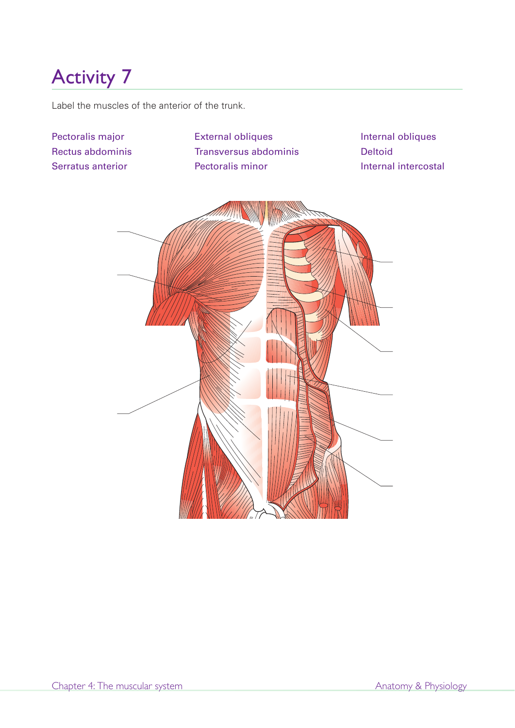Label the muscles of the anterior of the trunk.

Pectoralis major Rectus abdominis Serratus anterior

External obliques Transversus abdominis Pectoralis minor

Internal obliques Deltoid Internal intercostal

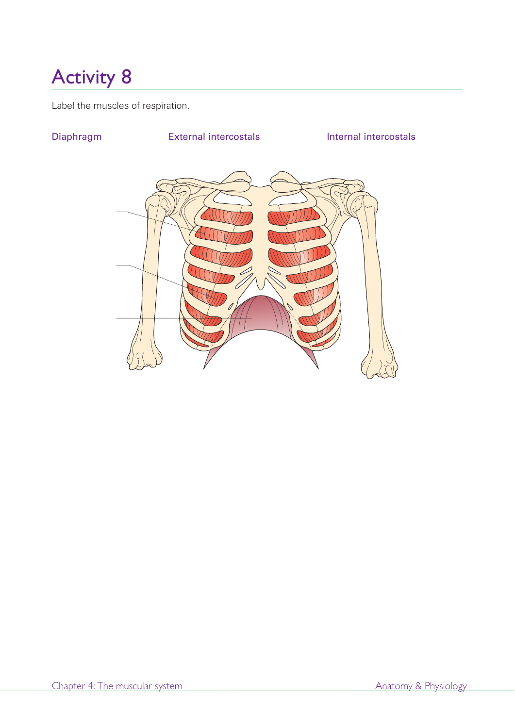Label the muscles of respiration.

# Diaphragm External intercostals Internal intercostals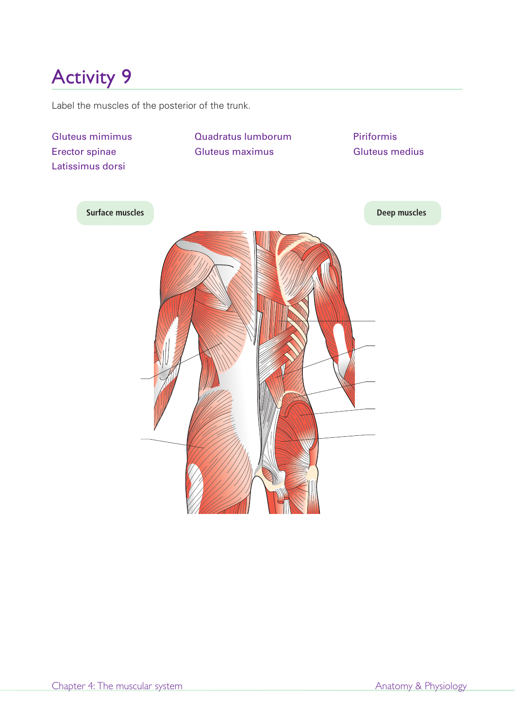Label the muscles of the posterior of the trunk.

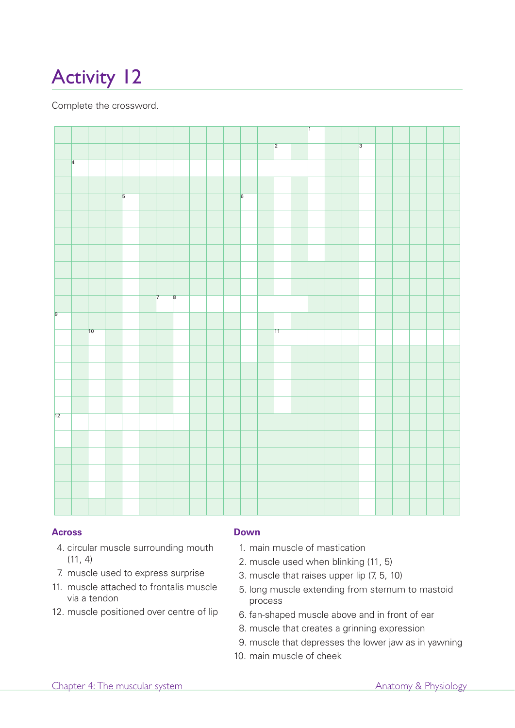Complete the crossword.



### **Across**

- 4. circular muscle surrounding mouth  $(11, 4)$
- 7. muscle used to express surprise
- 11. muscle attached to frontalis muscle via a tendon
- 12. muscle positioned over centre of lip

### **Down**

- 1. main muscle of mastication
- 2. muscle used when blinking (11, 5)
- 3. muscle that raises upper lip (7, 5, 10)
- 5. long muscle extending from sternum to mastoid process
- 6. fan-shaped muscle above and in front of ear
- 8. muscle that creates a grinning expression
- 9. muscle that depresses the lower jaw as in yawning
- 10. main muscle of cheek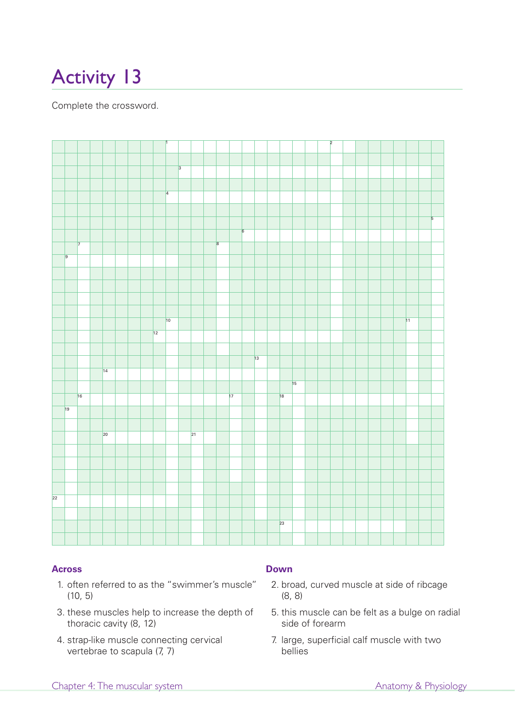Complete the crossword.



### **Across**

- 1. often referred to as the "swimmer's muscle" (10, 5)
- 3. these muscles help to increase the depth of thoracic cavity (8, 12)
- 4. strap-like muscle connecting cervical vertebrae to scapula (7, 7)

### **Down**

- 2. broad, curved muscle at side of ribcage (8, 8)
- 5. this muscle can be felt as a bulge on radial side of forearm
- 7. large, superficial calf muscle with two bellies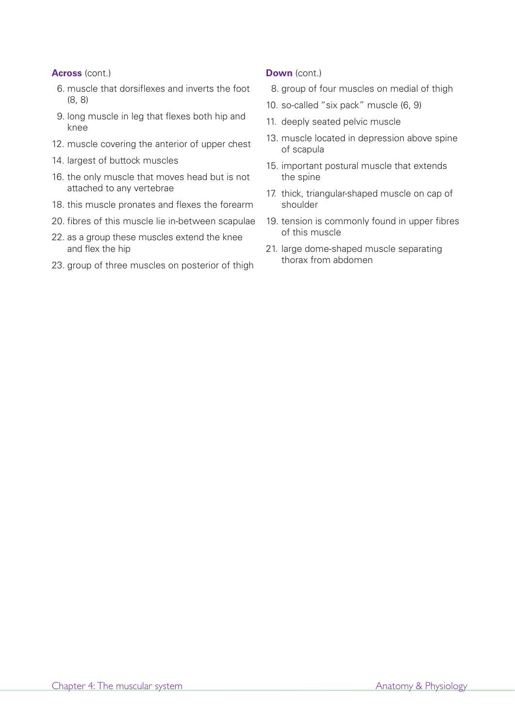### **Across** (cont.)

- 6. muscle that dorsiflexes and inverts the foot (8, 8)
- 9. long muscle in leg that flexes both hip and knee
- 12. muscle covering the anterior of upper chest
- 14. largest of buttock muscles
- 16. the only muscle that moves head but is not attached to any vertebrae
- 18. this muscle pronates and flexes the forearm
- 20. fibres of this muscle lie in-between scapulae
- 22. as a group these muscles extend the knee and flex the hip
- 23. group of three muscles on posterior of thigh

### **Down** (cont.)

- 8. group of four muscles on medial of thigh
- 10. so-called "six pack" muscle (6, 9)
- 11. deeply seated pelvic muscle
- 13. muscle located in depression above spine of scapula
- 15. important postural muscle that extends the spine
- 17. thick, triangular-shaped muscle on cap of shoulder
- 19. tension is commonly found in upper fibres of this muscle
- 21. large dome-shaped muscle separating thorax from abdomen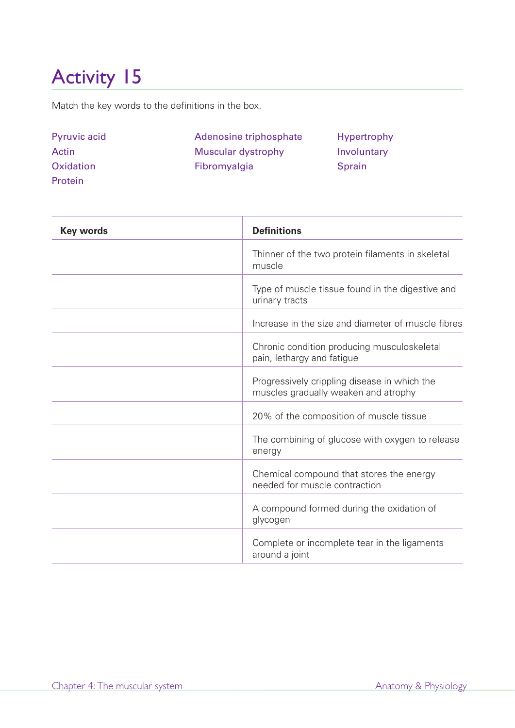Match the key words to the definitions in the box.

| <b>Pyruvic acid</b> | Adenosine triphosphate | Hypertrophy   |
|---------------------|------------------------|---------------|
| Actin               | Muscular dystrophy     | Involuntary   |
| <b>Oxidation</b>    | Fibromyalgia           | <b>Sprain</b> |
| Protein             |                        |               |

| <b>Key words</b> | <b>Definitions</b>                                                                   |
|------------------|--------------------------------------------------------------------------------------|
|                  | Thinner of the two protein filaments in skeletal<br>muscle                           |
|                  | Type of muscle tissue found in the digestive and<br>urinary tracts                   |
|                  | Increase in the size and diameter of muscle fibres                                   |
|                  | Chronic condition producing musculoskeletal<br>pain, lethargy and fatigue            |
|                  | Progressively crippling disease in which the<br>muscles gradually weaken and atrophy |
|                  | 20% of the composition of muscle tissue                                              |
|                  | The combining of glucose with oxygen to release<br>energy                            |
|                  | Chemical compound that stores the energy<br>needed for muscle contraction            |
|                  | A compound formed during the oxidation of<br>glycogen                                |
|                  | Complete or incomplete tear in the ligaments<br>around a joint                       |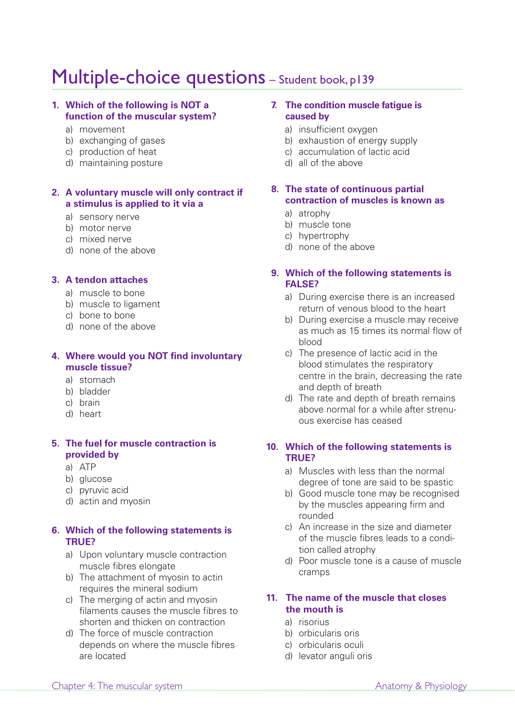## Multiple-choice questions - Student book, p139

### **1. Which of the following is NOT a function of the muscular system?**

- a) movement
- b) exchanging of gases
- c) production of heat
- d) maintaining posture

### **2. A voluntary muscle will only contract if a stimulus is applied to it via a**

- a) sensory nerve
- b) motor nerve
- c) mixed nerve
- d) none of the above

### **3. A tendon attaches**

- a) muscle to bone
- b) muscle to ligament
- c) bone to bone
- d) none of the above

### **4. Where would you NOT find involuntary muscle tissue?**

- a) stomach
- b) bladder
- c) brain
- d) heart

### **5. The fuel for muscle contraction is provided by**

- a) ATP
- b) glucose
- c) pyruvic acid
- d) actin and myosin

### **6. Which of the following statements is TRUE?**

- a) Upon voluntary muscle contraction muscle fibres elongate
- b) The attachment of myosin to actin requires the mineral sodium
- c) The merging of actin and myosin filaments causes the muscle fibres to shorten and thicken on contraction
- d) The force of muscle contraction depends on where the muscle fibres are located

### **7. The condition muscle fatigue is caused by**

- a) insufficient oxygen
- b) exhaustion of energy supply
- c) accumulation of lactic acid
- d) all of the above
- **8. The state of continuous partial contraction of muscles is known as**
	- a) atrophy
	- b) muscle tone
	- c) hypertrophy
	- d) none of the above

### **9. Which of the following statements is FALSE?**

- a) During exercise there is an increased return of venous blood to the heart
- b) During exercise a muscle may receive as much as 15 times its normal flow of blood
- c) The presence of lactic acid in the blood stimulates the respiratory centre in the brain, decreasing the rate and depth of breath
- d) The rate and depth of breath remains above normal for a while after strenuous exercise has ceased

### **10. Which of the following statements is TRUE?**

- a) Muscles with less than the normal degree of tone are said to be spastic
- b) Good muscle tone may be recognised by the muscles appearing firm and rounded
- c) An increase in the size and diameter of the muscle fibres leads to a condition called atrophy
- d) Poor muscle tone is a cause of muscle cramps

### **11. The name of the muscle that closes the mouth is**

- a) risorius
- b) orbicularis oris
- c) orbicularis oculi
- d) levator anguli oris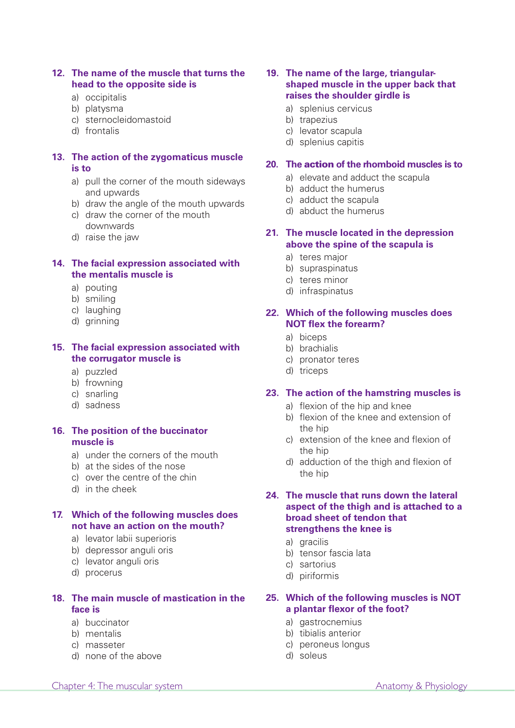### **12. The name of the muscle that turns the head to the opposite side is**

- a) occipitalis
- b) platysma
- c) sternocleidomastoid
- d) frontalis

### **13. The action of the zygomaticus muscle is to**

- a) pull the corner of the mouth sideways and upwards
- b) draw the angle of the mouth upwards
- c) draw the corner of the mouth downwards
- d) raise the jaw

### **14. The facial expression associated with the mentalis muscle is**

- a) pouting
- b) smiling
- c) laughing
- d) grinning

### **15. The facial expression associated with the corrugator muscle is**

- a) puzzled
- b) frowning
- c) snarling
- d) sadness

### **16. The position of the buccinator muscle is**

- a) under the corners of the mouth
- b) at the sides of the nose
- c) over the centre of the chin
- d) in the cheek

### **17. Which of the following muscles does not have an action on the mouth?**

- a) levator labii superioris
- b) depressor anguli oris
- c) levator anguli oris
- d) procerus

### **18. The main muscle of mastication in the face is**

- a) buccinator
- b) mentalis
- c) masseter
- d) none of the above

### **19. The name of the large, triangularshaped muscle in the upper back that raises the shoulder girdle is**

- a) splenius cervicus
- b) trapezius
- c) levator scapula
- d) splenius capitis

### **20. The action of the rhomboid muscles is to**

- a) elevate and adduct the scapula
- b) adduct the humerus
- c) adduct the scapula
- d) abduct the humerus

### **21. The muscle located in the depression above the spine of the scapula is**

- a) teres major
- b) supraspinatus
- c) teres minor
- d) infraspinatus

### **22. Which of the following muscles does NOT flex the forearm?**

- a) biceps
- b) brachialis
- c) pronator teres
- d) triceps

### **23. The action of the hamstring muscles is**

- a) flexion of the hip and knee
- b) flexion of the knee and extension of the hip
- c) extension of the knee and flexion of the hip
- d) adduction of the thigh and flexion of the hip

### **24. The muscle that runs down the lateral aspect of the thigh and is attached to a broad sheet of tendon that strengthens the knee is**

- a) gracilis
- b) tensor fascia lata
- c) sartorius
- d) piriformis

### **25. Which of the following muscles is NOT a plantar flexor of the foot?**

- a) gastrocnemius
- b) tibialis anterior
- c) peroneus longus
- d) soleus